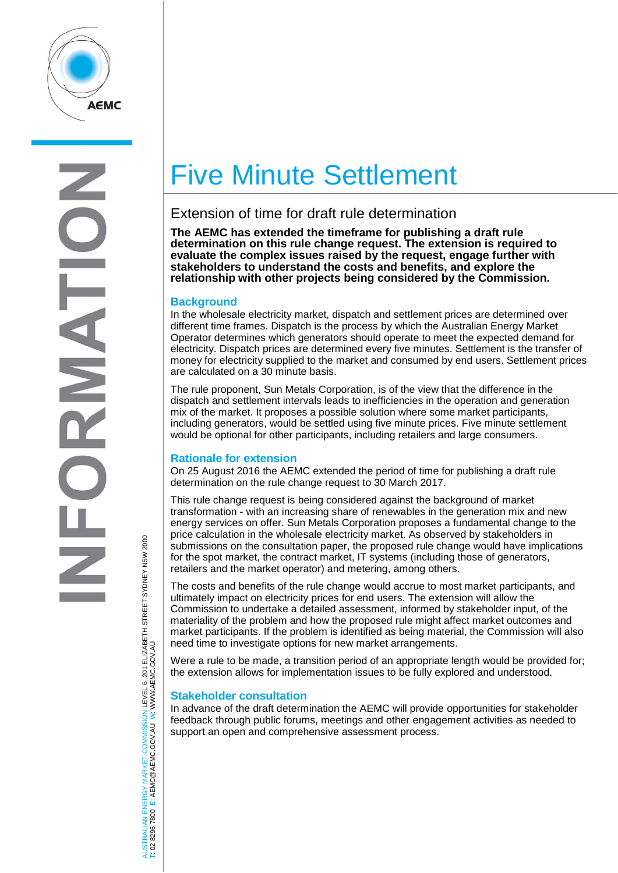

# Five Minute Settlement

# Extension of time for draft rule determination

**The AEMC has extended the timeframe for publishing a draft rule determination on this rule change request. The extension is required to evaluate the complex issues raised by the request, engage further with stakeholders to understand the costs and benefits, and explore the relationship with other projects being considered by the Commission.**

## **Background**

In the wholesale electricity market, dispatch and settlement prices are determined over different time frames. Dispatch is the process by which the Australian Energy Market Operator determines which generators should operate to meet the expected demand for electricity. Dispatch prices are determined every five minutes. Settlement is the transfer of money for electricity supplied to the market and consumed by end users. Settlement prices are calculated on a 30 minute basis.

The rule proponent, Sun Metals Corporation, is of the view that the difference in the dispatch and settlement intervals leads to inefficiencies in the operation and generation mix of the market. It proposes a possible solution where some market participants, including generators, would be settled using five minute prices. Five minute settlement would be optional for other participants, including retailers and large consumers.

#### **Rationale for extension**

On 25 August 2016 the AEMC extended the period of time for publishing a draft rule determination on the rule change request to 30 March 2017.

This rule change request is being considered against the background of market transformation - with an increasing share of renewables in the generation mix and new energy services on offer. Sun Metals Corporation proposes a fundamental change to the price calculation in the wholesale electricity market. As observed by stakeholders in submissions on the consultation paper, the proposed rule change would have implications for the spot market, the contract market, IT systems (including those of generators, retailers and the market operator) and metering, among others.

The costs and benefits of the rule change would accrue to most market participants, and ultimately impact on electricity prices for end users. The extension will allow the Commission to undertake a detailed assessment, informed by stakeholder input, of the materiality of the problem and how the proposed rule might affect market outcomes and market participants. If the problem is identified as being material, the Commission will also need time to investigate options for new market arrangements.

Were a rule to be made, a transition period of an appropriate length would be provided for; the extension allows for implementation issues to be fully explored and understood.

#### **Stakeholder consultation**

In advance of the draft determination the AEMC will provide opportunities for stakeholder feedback through public forums, meetings and other engagement activities as needed to support an open and comprehensive assessment process.

TRALIAN ENERGY MARKET COMMISSION LEVEL 6, 201 ELIZABETH STREET SYDNEY NSW 2000<br>8296 7800 E: AEMC@AEMC.GOV.AU W: WWW.AEMC.GOV.AU AUSTRALIAN ENERGY MARKET COMMISSION LEVEL 6, 201 ELIZABETH STREET SYDNEY NSW 2000 W: WWW.AEMC.GOV.AU T: 02 8296 7800 E: AEMC@AEMC.GOV.AU **ISL** i si